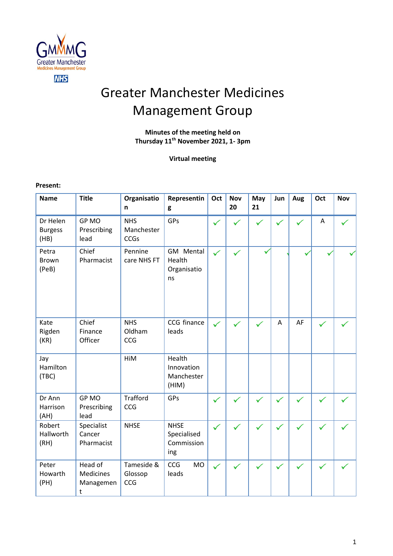

# Greater Manchester Medicines Management Group

# **Minutes of the meeting held on Thursday 11 th November 2021, 1- 3pm**

**Virtual meeting**

**Present:** 

| <b>Name</b>                        | <b>Title</b>                                        | Organisatio<br>n                        | Representin<br>g                                | Oct          | <b>Nov</b><br>20 | May<br>21    | Jun | Aug | Oct          | <b>Nov</b> |
|------------------------------------|-----------------------------------------------------|-----------------------------------------|-------------------------------------------------|--------------|------------------|--------------|-----|-----|--------------|------------|
| Dr Helen<br><b>Burgess</b><br>(HB) | GP MO<br>Prescribing<br>lead                        | <b>NHS</b><br>Manchester<br><b>CCGs</b> | GPs                                             | $\checkmark$ |                  |              |     |     | Α            |            |
| Petra<br><b>Brown</b><br>(PeB)     | Chief<br>Pharmacist                                 | Pennine<br>care NHS FT                  | GM Mental<br>Health<br>Organisatio<br>ns        | ✓            |                  |              |     |     |              |            |
| Kate<br>Rigden<br>(KR)             | Chief<br>Finance<br>Officer                         | <b>NHS</b><br>Oldham<br>CCG             | CCG finance<br>leads                            | ✓            | ✓                | $\checkmark$ | A   | AF  | $\checkmark$ |            |
| Jay<br>Hamilton<br>(TBC)           |                                                     | HiM                                     | Health<br>Innovation<br>Manchester<br>(HIM)     |              |                  |              |     |     |              |            |
| Dr Ann<br>Harrison<br>(AH)         | GP MO<br>Prescribing<br>lead                        | <b>Trafford</b><br><b>CCG</b>           | GPs                                             | $\checkmark$ |                  |              |     |     |              |            |
| Robert<br>Hallworth<br>(RH)        | Specialist<br>Cancer<br>Pharmacist                  | <b>NHSE</b>                             | <b>NHSE</b><br>Specialised<br>Commission<br>ing | $\checkmark$ |                  |              | ✓   |     |              |            |
| Peter<br>Howarth<br>(PH)           | Head of<br><b>Medicines</b><br>Managemen<br>$\sf t$ | Tameside &<br>Glossop<br>CCG            | <b>CCG</b><br><b>MO</b><br>leads                | $\checkmark$ |                  |              |     |     |              |            |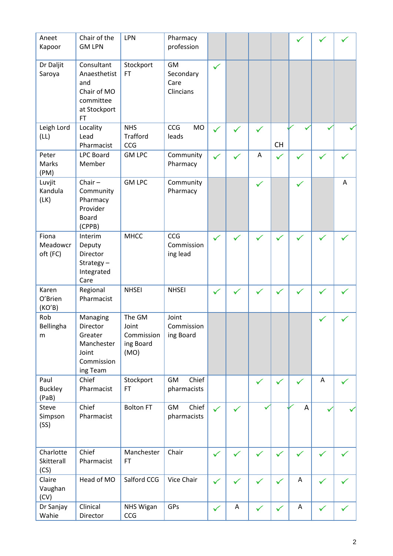| Aneet<br>Kapoor                 | Chair of the<br><b>GM LPN</b>                                                              | LPN                                                | Pharmacy<br>profession                      |              |   |              |              |             |   |   |
|---------------------------------|--------------------------------------------------------------------------------------------|----------------------------------------------------|---------------------------------------------|--------------|---|--------------|--------------|-------------|---|---|
| Dr Daljit<br>Saroya             | Consultant<br>Anaesthetist<br>and<br>Chair of MO<br>committee<br>at Stockport<br><b>FT</b> | Stockport<br>FT                                    | <b>GM</b><br>Secondary<br>Care<br>Clincians | ✓            |   |              |              |             |   |   |
| Leigh Lord<br>(LL)              | Locality<br>Lead<br>Pharmacist                                                             | <b>NHS</b><br><b>Trafford</b><br>CCG               | CCG<br><b>MO</b><br>leads                   | $\checkmark$ |   | $\checkmark$ | <b>CH</b>    |             |   |   |
| Peter<br>Marks<br>(PM)          | <b>LPC Board</b><br>Member                                                                 | <b>GM LPC</b>                                      | Community<br>Pharmacy                       | ✓            |   | Α            | $\checkmark$ |             |   |   |
| Luvjit<br>Kandula<br>(LK)       | Chair $-$<br>Community<br>Pharmacy<br>Provider<br><b>Board</b><br>(CPPB)                   | <b>GM LPC</b>                                      | Community<br>Pharmacy                       |              |   | $\checkmark$ |              | ✓           |   | Α |
| Fiona<br>Meadowcr<br>oft (FC)   | Interim<br>Deputy<br>Director<br>Strategy $-$<br>Integrated<br>Care                        | <b>MHCC</b>                                        | CCG<br>Commission<br>ing lead               | ✓            |   |              | $\checkmark$ |             |   |   |
| Karen<br>O'Brien<br>(KO'B)      | Regional<br>Pharmacist                                                                     | <b>NHSEI</b>                                       | <b>NHSEI</b>                                | $\checkmark$ |   |              | ✓            |             |   |   |
| Rob<br>Bellingha<br>m           | Managing<br>Director<br>Greater<br>Manchester<br>Joint<br>Commission<br>ing Team           | The GM<br>Joint<br>Commission<br>ing Board<br>(MO) | Joint<br>Commission<br>ing Board            |              |   |              |              |             |   |   |
| Paul<br><b>Buckley</b><br>(PaB) | Chief<br>Pharmacist                                                                        | Stockport<br><b>FT</b>                             | Chief<br><b>GM</b><br>pharmacists           |              |   | $\checkmark$ | ✓            |             | Α |   |
| Steve<br>Simpson<br>(SS)        | Chief<br>Pharmacist                                                                        | <b>Bolton FT</b>                                   | Chief<br>GM<br>pharmacists                  | ✓            |   |              |              | A           |   |   |
| Charlotte<br>Skitterall<br>(CS) | Chief<br>Pharmacist                                                                        | Manchester<br><b>FT</b>                            | Chair                                       | ✓            |   | $\checkmark$ | ✓            |             |   |   |
| Claire<br>Vaughan<br>(CV)       | Head of MO                                                                                 | Salford CCG                                        | Vice Chair                                  | $\checkmark$ |   | $\checkmark$ | $\checkmark$ | A           | ✓ |   |
| Dr Sanjay<br>Wahie              | Clinical<br>Director                                                                       | NHS Wigan<br>CCG                                   | GPs                                         | $\checkmark$ | A | $\checkmark$ | ✓            | $\mathsf A$ | ✓ |   |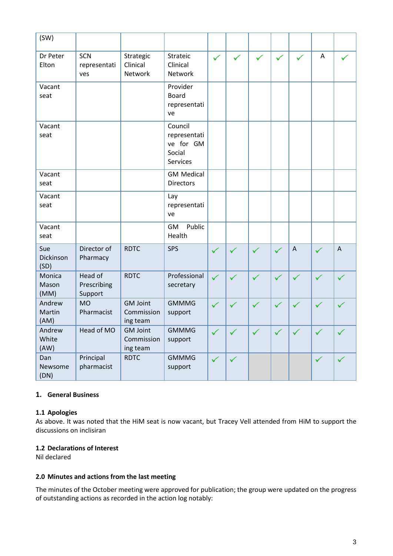| (SW)                     |                                   |                                           |                                                            |              |              |              |              |                           |              |              |
|--------------------------|-----------------------------------|-------------------------------------------|------------------------------------------------------------|--------------|--------------|--------------|--------------|---------------------------|--------------|--------------|
| Dr Peter<br>Elton        | SCN<br>representati<br>ves        | Strategic<br>Clinical<br>Network          | Strateic<br>Clinical<br>Network                            | $\checkmark$ | $\checkmark$ | $\checkmark$ | $\checkmark$ | $\checkmark$              | A            | ✓            |
| Vacant<br>seat           |                                   |                                           | Provider<br><b>Board</b><br>representati<br>ve             |              |              |              |              |                           |              |              |
| Vacant<br>seat           |                                   |                                           | Council<br>representati<br>ve for GM<br>Social<br>Services |              |              |              |              |                           |              |              |
| Vacant<br>seat           |                                   |                                           | <b>GM Medical</b><br><b>Directors</b>                      |              |              |              |              |                           |              |              |
| Vacant<br>seat           |                                   |                                           | Lay<br>representati<br>ve                                  |              |              |              |              |                           |              |              |
| Vacant<br>seat           |                                   |                                           | Public<br><b>GM</b><br>Health                              |              |              |              |              |                           |              |              |
| Sue<br>Dickinson<br>(SD) | Director of<br>Pharmacy           | <b>RDTC</b>                               | <b>SPS</b>                                                 | ✓            | ✓            | ✓            | ✓            | $\boldsymbol{\mathsf{A}}$ | $\checkmark$ | $\bigwedge$  |
| Monica<br>Mason<br>(MM)  | Head of<br>Prescribing<br>Support | <b>RDTC</b>                               | Professional<br>secretary                                  | $\checkmark$ | ✓            | ✓            | $\checkmark$ | $\checkmark$              | $\checkmark$ | $\checkmark$ |
| Andrew<br>Martin<br>(AM) | <b>MO</b><br>Pharmacist           | <b>GM Joint</b><br>Commission<br>ing team | <b>GMMMG</b><br>support                                    | $\checkmark$ | $\checkmark$ | ✓            | $\checkmark$ | $\checkmark$              | ✓            |              |
| Andrew<br>White<br>(AW)  | Head of MO                        | <b>GM Joint</b><br>Commission<br>ing team | <b>GMMMG</b><br>support                                    |              |              | ✓            | $\checkmark$ |                           |              |              |
| Dan<br>Newsome<br>(DN)   | Principal<br>pharmacist           | <b>RDTC</b>                               | <b>GMMMG</b><br>support                                    | ✓            | ✓            |              |              |                           | $\checkmark$ |              |

# **1. General Business**

#### **1.1 Apologies**

As above. It was noted that the HiM seat is now vacant, but Tracey Vell attended from HiM to support the discussions on inclisiran

# **1.2 Declarations of Interest**

Nil declared

#### **2.0 Minutes and actions from the last meeting**

The minutes of the October meeting were approved for publication; the group were updated on the progress of outstanding actions as recorded in the action log notably: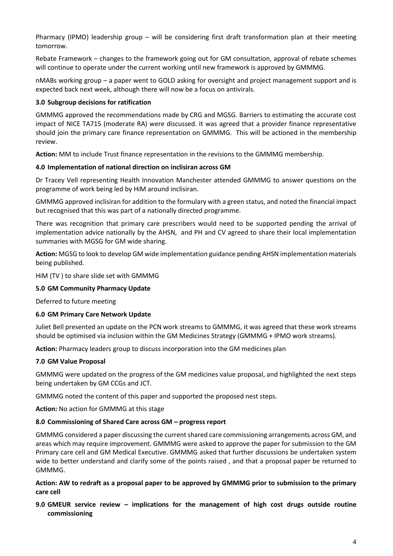Pharmacy (IPMO) leadership group – will be considering first draft transformation plan at their meeting tomorrow.

Rebate Framework – changes to the framework going out for GM consultation, approval of rebate schemes will continue to operate under the current working until new framework is approved by GMMMG.

nMABs working group – a paper went to GOLD asking for oversight and project management support and is expected back next week, although there will now be a focus on antivirals.

### **3.0 Subgroup decisions for ratification**

GMMMG approved the recommendations made by CRG and MGSG. Barriers to estimating the accurate cost impact of NICE TA715 (moderate RA) were discussed. It was agreed that a provider finance representative should join the primary care finance representation on GMMMG. This will be actioned in the membership review.

**Action:** MM to include Trust finance representation in the revisions to the GMMMG membership.

### **4.0 Implementation of national direction on inclisiran across GM**

Dr Tracey Vell representing Health Innovation Manchester attended GMMMG to answer questions on the programme of work being led by HiM around inclisiran.

GMMMG approved inclisiran for addition to the formulary with a green status, and noted the financial impact but recognised that this was part of a nationally directed programme.

There was recognition that primary care prescribers would need to be supported pending the arrival of implementation advice nationally by the AHSN, and PH and CV agreed to share their local implementation summaries with MGSG for GM wide sharing.

**Action:** MGSG to look to develop GM wide implementation guidance pending AHSN implementation materials being published.

HiM (TV ) to share slide set with GMMMG

#### **5.0 GM Community Pharmacy Update**

Deferred to future meeting

# **6.0 GM Primary Care Network Update**

Juliet Bell presented an update on the PCN work streams to GMMMG, it was agreed that these work streams should be optimised via inclusion within the GM Medicines Strategy (GMMMG + IPMO work streams).

**Action:** Pharmacy leaders group to discuss incorporation into the GM medicines plan

# **7.0 GM Value Proposal**

GMMMG were updated on the progress of the GM medicines value proposal, and highlighted the next steps being undertaken by GM CCGs and JCT.

GMMMG noted the content of this paper and supported the proposed nest steps.

**Action:** No action for GMMMG at this stage

#### **8.0 Commissioning of Shared Care across GM – progress report**

GMMMG considered a paper discussing the current shared care commissioning arrangements across GM, and areas which may require improvement. GMMMG were asked to approve the paper for submission to the GM Primary care cell and GM Medical Executive. GMMMG asked that further discussions be undertaken system wide to better understand and clarify some of the points raised , and that a proposal paper be returned to GMMMG.

### **Action: AW to redraft as a proposal paper to be approved by GMMMG prior to submission to the primary care cell**

# **9.0 GMEUR service review – implications for the management of high cost drugs outside routine commissioning**